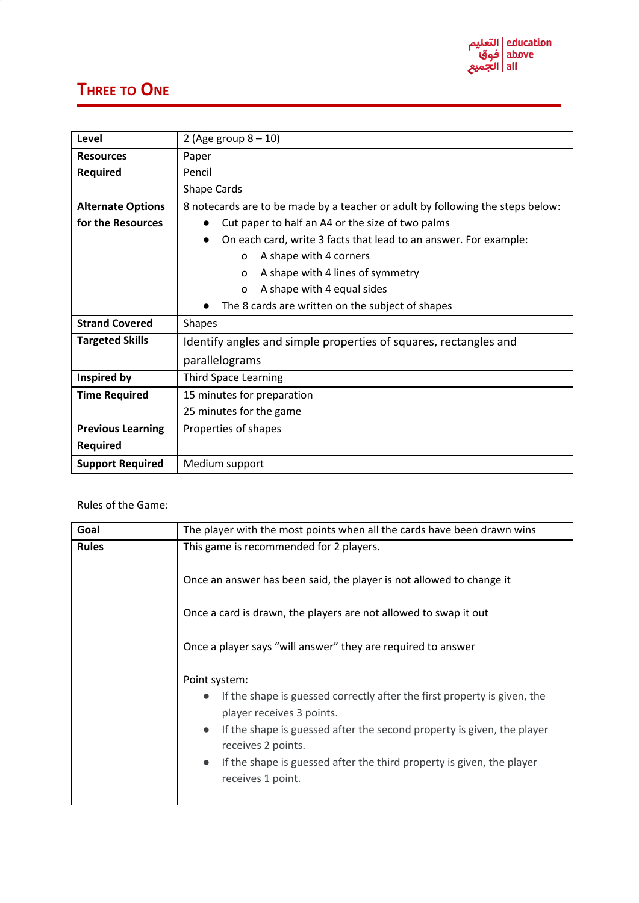## **THREE TO ONE**

| Level                    | 2 (Age group $8 - 10$ )                                                        |  |  |
|--------------------------|--------------------------------------------------------------------------------|--|--|
| <b>Resources</b>         | Paper                                                                          |  |  |
| <b>Required</b>          | Pencil                                                                         |  |  |
|                          | Shape Cards                                                                    |  |  |
| <b>Alternate Options</b> | 8 notecards are to be made by a teacher or adult by following the steps below: |  |  |
| for the Resources        | Cut paper to half an A4 or the size of two palms                               |  |  |
|                          | On each card, write 3 facts that lead to an answer. For example:               |  |  |
|                          | A shape with 4 corners<br>0                                                    |  |  |
|                          | A shape with 4 lines of symmetry<br>$\Omega$                                   |  |  |
|                          | A shape with 4 equal sides<br>0                                                |  |  |
|                          | The 8 cards are written on the subject of shapes                               |  |  |
| <b>Strand Covered</b>    | <b>Shapes</b>                                                                  |  |  |
| <b>Targeted Skills</b>   | Identify angles and simple properties of squares, rectangles and               |  |  |
|                          | parallelograms                                                                 |  |  |
| Inspired by              | <b>Third Space Learning</b>                                                    |  |  |
| <b>Time Required</b>     | 15 minutes for preparation                                                     |  |  |
|                          | 25 minutes for the game                                                        |  |  |
| <b>Previous Learning</b> | Properties of shapes                                                           |  |  |
| <b>Required</b>          |                                                                                |  |  |
| <b>Support Required</b>  | Medium support                                                                 |  |  |

## Rules of the Game:

| Goal         | The player with the most points when all the cards have been drawn wins                                                                                                                                                                                                                                                                                     |  |  |  |  |
|--------------|-------------------------------------------------------------------------------------------------------------------------------------------------------------------------------------------------------------------------------------------------------------------------------------------------------------------------------------------------------------|--|--|--|--|
| <b>Rules</b> | This game is recommended for 2 players.<br>Once an answer has been said, the player is not allowed to change it                                                                                                                                                                                                                                             |  |  |  |  |
|              | Once a card is drawn, the players are not allowed to swap it out<br>Once a player says "will answer" they are required to answer                                                                                                                                                                                                                            |  |  |  |  |
|              | Point system:<br>If the shape is guessed correctly after the first property is given, the<br>$\bullet$<br>player receives 3 points.<br>If the shape is guessed after the second property is given, the player<br>$\bullet$<br>receives 2 points.<br>If the shape is guessed after the third property is given, the player<br>$\bullet$<br>receives 1 point. |  |  |  |  |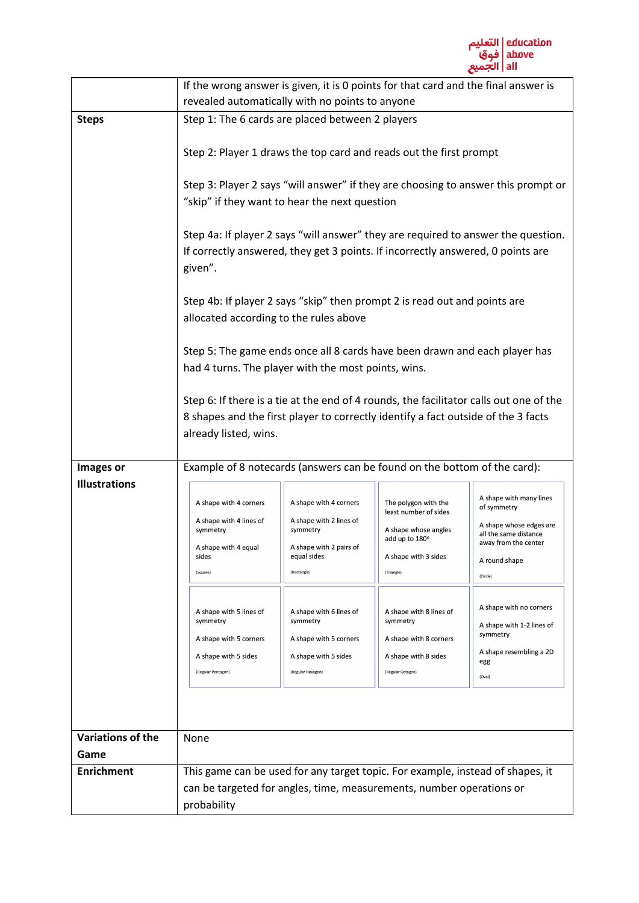

|                          | If the wrong answer is given, it is 0 points for that card and the final answer is                                                                                                                                                                                                                     |                                                                                                                        |                                                                                                                               |                                                                                                                                                 |  |  |
|--------------------------|--------------------------------------------------------------------------------------------------------------------------------------------------------------------------------------------------------------------------------------------------------------------------------------------------------|------------------------------------------------------------------------------------------------------------------------|-------------------------------------------------------------------------------------------------------------------------------|-------------------------------------------------------------------------------------------------------------------------------------------------|--|--|
|                          | revealed automatically with no points to anyone                                                                                                                                                                                                                                                        |                                                                                                                        |                                                                                                                               |                                                                                                                                                 |  |  |
| <b>Steps</b>             | Step 1: The 6 cards are placed between 2 players                                                                                                                                                                                                                                                       |                                                                                                                        |                                                                                                                               |                                                                                                                                                 |  |  |
|                          | Step 2: Player 1 draws the top card and reads out the first prompt                                                                                                                                                                                                                                     |                                                                                                                        |                                                                                                                               |                                                                                                                                                 |  |  |
|                          | Step 3: Player 2 says "will answer" if they are choosing to answer this prompt or<br>"skip" if they want to hear the next question                                                                                                                                                                     |                                                                                                                        |                                                                                                                               |                                                                                                                                                 |  |  |
|                          | Step 4a: If player 2 says "will answer" they are required to answer the question.<br>If correctly answered, they get 3 points. If incorrectly answered, 0 points are<br>given".<br>Step 4b: If player 2 says "skip" then prompt 2 is read out and points are<br>allocated according to the rules above |                                                                                                                        |                                                                                                                               |                                                                                                                                                 |  |  |
|                          |                                                                                                                                                                                                                                                                                                        |                                                                                                                        |                                                                                                                               |                                                                                                                                                 |  |  |
|                          | Step 5: The game ends once all 8 cards have been drawn and each player has<br>had 4 turns. The player with the most points, wins.                                                                                                                                                                      |                                                                                                                        |                                                                                                                               |                                                                                                                                                 |  |  |
|                          | Step 6: If there is a tie at the end of 4 rounds, the facilitator calls out one of the<br>8 shapes and the first player to correctly identify a fact outside of the 3 facts<br>already listed, wins.                                                                                                   |                                                                                                                        |                                                                                                                               |                                                                                                                                                 |  |  |
| Images or                | Example of 8 notecards (answers can be found on the bottom of the card):                                                                                                                                                                                                                               |                                                                                                                        |                                                                                                                               |                                                                                                                                                 |  |  |
| <b>Illustrations</b>     | A shape with 4 corners<br>A shape with 4 lines of<br>symmetry<br>A shape with 4 equal<br>sides<br>(Square)                                                                                                                                                                                             | A shape with 4 corners<br>A shape with 2 lines of<br>symmetry<br>A shape with 2 pairs of<br>equal sides<br>(Rectangle) | The polygon with the<br>least number of sides<br>A shape whose angles<br>add up to 180°<br>A shape with 3 sides<br>(Triangle) | A shape with many lines<br>of symmetry<br>A shape whose edges are<br>all the same distance<br>away from the center<br>A round shape<br>(Circle) |  |  |
|                          | A shape with 5 lines of<br>symmetry<br>A shape with 5 corners<br>A shape with 5 sides<br>(Regular Pentagon)                                                                                                                                                                                            | A shape with 6 lines of<br>symmetry<br>A shape with 5 corners<br>A shape with 5 sides<br>(Regular Hexagon)             | A shape with 8 lines of<br>symmetry<br>A shape with 8 corners<br>A shape with 8 sides<br>(Regular Octagon)                    | A shape with no corners<br>A shape with 1-2 lines of<br>symmetry<br>A shape resembling a 2D<br>egg<br>(Oval)                                    |  |  |
| <b>Variations of the</b> | None                                                                                                                                                                                                                                                                                                   |                                                                                                                        |                                                                                                                               |                                                                                                                                                 |  |  |
| Game                     |                                                                                                                                                                                                                                                                                                        |                                                                                                                        |                                                                                                                               |                                                                                                                                                 |  |  |
| <b>Enrichment</b>        | This game can be used for any target topic. For example, instead of shapes, it                                                                                                                                                                                                                         |                                                                                                                        |                                                                                                                               |                                                                                                                                                 |  |  |
|                          | can be targeted for angles, time, measurements, number operations or<br>probability                                                                                                                                                                                                                    |                                                                                                                        |                                                                                                                               |                                                                                                                                                 |  |  |